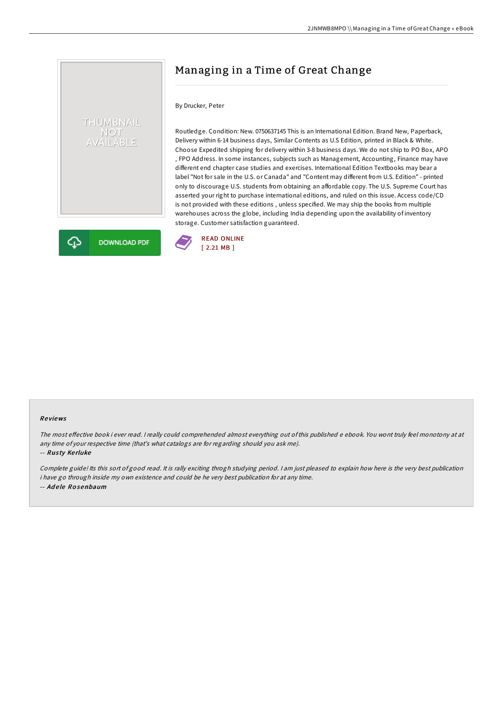# Managing in a Time of Great Change

### By Drucker, Peter

Routledge. Condition: New. 0750637145 This is an International Edition. Brand New, Paperback, Delivery within 6-14 business days, Similar Contents as U.S Edition, printed in Black & White. Choose Expedited shipping for delivery within 3-8 business days. We do not ship to PO Box, APO , FPO Address. In some instances, subjects such as Management, Accounting, Finance may have different end chapter case studies and exercises. International Edition Textbooks may bear a label "Not for sale in the U.S. or Canada" and "Content may different from U.S. Edition" - printed only to discourage U.S. students from obtaining an affordable copy. The U.S. Supreme Court has asserted your right to purchase international editions, and ruled on this issue. Access code/CD is not provided with these editions , unless specified. We may ship the books from multiple warehouses across the globe, including India depending upon the availability of inventory storage. Customer satisfaction guaranteed.



THUMBNAIL NOT<br>AVAILABLE

### Re views

The most effective book i ever read. I really could comprehended almost everything out of this published e ebook. You wont truly feel monotony at at any time of your respective time (that's what catalogs are for regarding should you ask me).

-- Rusty Kerluke

ঞ

Complete guide! Its this sort of good read. It is rally exciting throgh studying period. <sup>I</sup> am just pleased to explain how here is the very best publication i have go through inside my own existence and could be he very best publication for at any time. -- Adele Rosenbaum